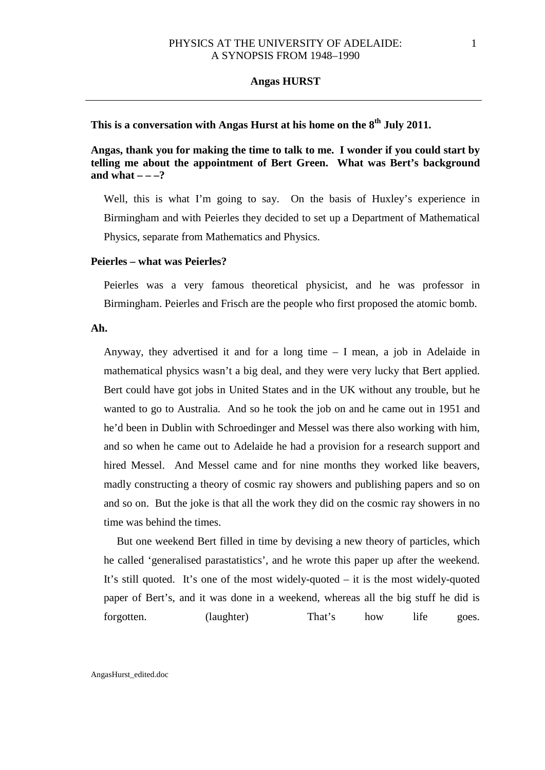# **This is a conversation with Angas Hurst at his home on the 8th July 2011.**

**Angas, thank you for making the time to talk to me. I wonder if you could start by telling me about the appointment of Bert Green. What was Bert's background**  and what  $- -2$ ?

Well, this is what I'm going to say. On the basis of Huxley's experience in Birmingham and with Peierles they decided to set up a Department of Mathematical Physics, separate from Mathematics and Physics.

### **Peierles – what was Peierles?**

Peierles was a very famous theoretical physicist, and he was professor in Birmingham. Peierles and Frisch are the people who first proposed the atomic bomb.

### **Ah.**

Anyway, they advertised it and for a long time – I mean, a job in Adelaide in mathematical physics wasn't a big deal, and they were very lucky that Bert applied. Bert could have got jobs in United States and in the UK without any trouble, but he wanted to go to Australia. And so he took the job on and he came out in 1951 and he'd been in Dublin with Schroedinger and Messel was there also working with him, and so when he came out to Adelaide he had a provision for a research support and hired Messel. And Messel came and for nine months they worked like beavers, madly constructing a theory of cosmic ray showers and publishing papers and so on and so on. But the joke is that all the work they did on the cosmic ray showers in no time was behind the times.

But one weekend Bert filled in time by devising a new theory of particles, which he called 'generalised parastatistics', and he wrote this paper up after the weekend. It's still quoted. It's one of the most widely-quoted – it is the most widely-quoted paper of Bert's, and it was done in a weekend, whereas all the big stuff he did is forgotten. (laughter) That's how life goes.

AngasHurst\_edited.doc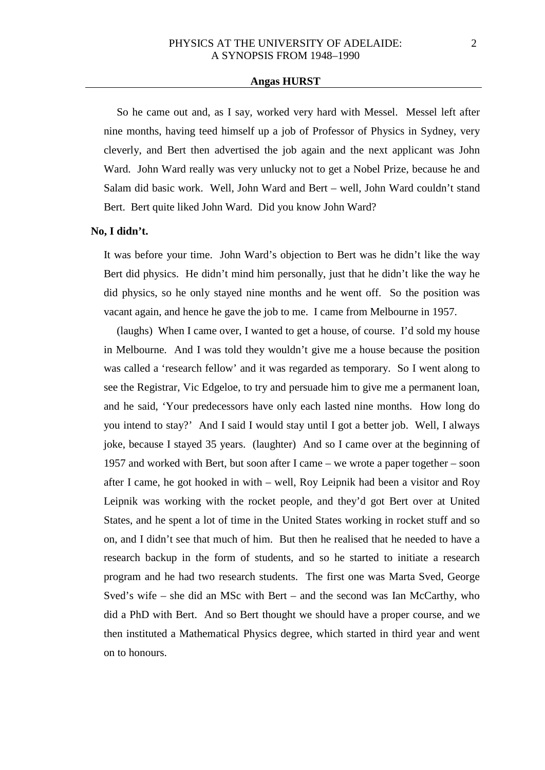So he came out and, as I say, worked very hard with Messel. Messel left after nine months, having teed himself up a job of Professor of Physics in Sydney, very cleverly, and Bert then advertised the job again and the next applicant was John Ward. John Ward really was very unlucky not to get a Nobel Prize, because he and Salam did basic work. Well, John Ward and Bert – well, John Ward couldn't stand Bert. Bert quite liked John Ward. Did you know John Ward?

### **No, I didn't.**

It was before your time. John Ward's objection to Bert was he didn't like the way Bert did physics. He didn't mind him personally, just that he didn't like the way he did physics, so he only stayed nine months and he went off. So the position was vacant again, and hence he gave the job to me. I came from Melbourne in 1957.

(laughs) When I came over, I wanted to get a house, of course. I'd sold my house in Melbourne. And I was told they wouldn't give me a house because the position was called a 'research fellow' and it was regarded as temporary. So I went along to see the Registrar, Vic Edgeloe, to try and persuade him to give me a permanent loan, and he said, 'Your predecessors have only each lasted nine months. How long do you intend to stay?' And I said I would stay until I got a better job. Well, I always joke, because I stayed 35 years. (laughter) And so I came over at the beginning of 1957 and worked with Bert, but soon after I came – we wrote a paper together – soon after I came, he got hooked in with – well, Roy Leipnik had been a visitor and Roy Leipnik was working with the rocket people, and they'd got Bert over at United States, and he spent a lot of time in the United States working in rocket stuff and so on, and I didn't see that much of him. But then he realised that he needed to have a research backup in the form of students, and so he started to initiate a research program and he had two research students. The first one was Marta Sved, George Sved's wife – she did an MSc with Bert – and the second was Ian McCarthy, who did a PhD with Bert. And so Bert thought we should have a proper course, and we then instituted a Mathematical Physics degree, which started in third year and went on to honours.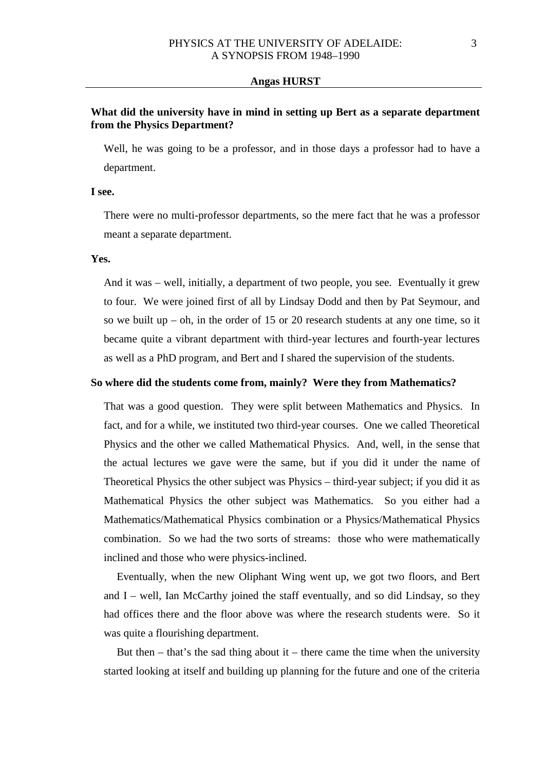# **What did the university have in mind in setting up Bert as a separate department from the Physics Department?**

Well, he was going to be a professor, and in those days a professor had to have a department.

#### **I see.**

There were no multi-professor departments, so the mere fact that he was a professor meant a separate department.

### **Yes.**

And it was – well, initially, a department of two people, you see. Eventually it grew to four. We were joined first of all by Lindsay Dodd and then by Pat Seymour, and so we built up – oh, in the order of  $15$  or  $20$  research students at any one time, so it became quite a vibrant department with third-year lectures and fourth-year lectures as well as a PhD program, and Bert and I shared the supervision of the students.

#### **So where did the students come from, mainly? Were they from Mathematics?**

That was a good question. They were split between Mathematics and Physics. In fact, and for a while, we instituted two third-year courses. One we called Theoretical Physics and the other we called Mathematical Physics. And, well, in the sense that the actual lectures we gave were the same, but if you did it under the name of Theoretical Physics the other subject was Physics – third-year subject; if you did it as Mathematical Physics the other subject was Mathematics. So you either had a Mathematics/Mathematical Physics combination or a Physics/Mathematical Physics combination. So we had the two sorts of streams: those who were mathematically inclined and those who were physics-inclined.

Eventually, when the new Oliphant Wing went up, we got two floors, and Bert and  $I$  – well, Ian McCarthy joined the staff eventually, and so did Lindsay, so they had offices there and the floor above was where the research students were. So it was quite a flourishing department.

But then  $-$  that's the sad thing about it  $-$  there came the time when the university started looking at itself and building up planning for the future and one of the criteria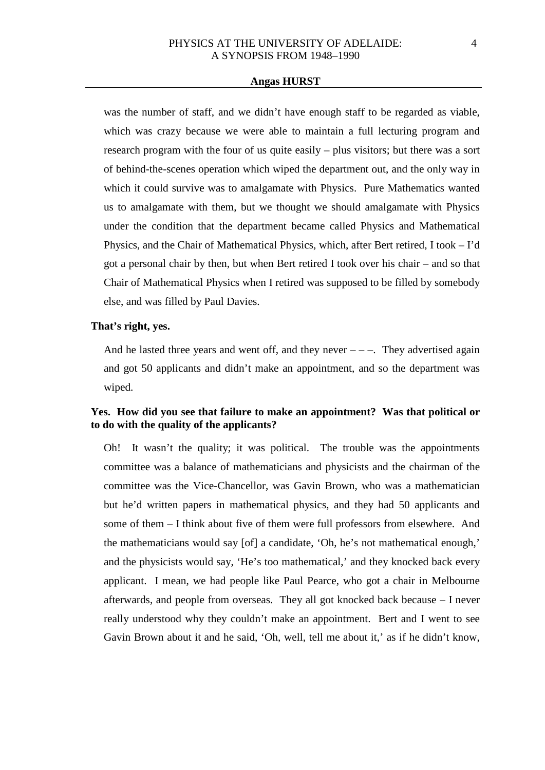was the number of staff, and we didn't have enough staff to be regarded as viable, which was crazy because we were able to maintain a full lecturing program and research program with the four of us quite easily – plus visitors; but there was a sort of behind-the-scenes operation which wiped the department out, and the only way in which it could survive was to amalgamate with Physics. Pure Mathematics wanted us to amalgamate with them, but we thought we should amalgamate with Physics under the condition that the department became called Physics and Mathematical Physics, and the Chair of Mathematical Physics, which, after Bert retired, I took – I'd got a personal chair by then, but when Bert retired I took over his chair – and so that Chair of Mathematical Physics when I retired was supposed to be filled by somebody else, and was filled by Paul Davies.

### **That's right, yes.**

And he lasted three years and went off, and they never  $---$ . They advertised again and got 50 applicants and didn't make an appointment, and so the department was wiped.

# **Yes. How did you see that failure to make an appointment? Was that political or to do with the quality of the applicants?**

Oh! It wasn't the quality; it was political. The trouble was the appointments committee was a balance of mathematicians and physicists and the chairman of the committee was the Vice-Chancellor, was Gavin Brown, who was a mathematician but he'd written papers in mathematical physics, and they had 50 applicants and some of them – I think about five of them were full professors from elsewhere. And the mathematicians would say [of] a candidate, 'Oh, he's not mathematical enough,' and the physicists would say, 'He's too mathematical,' and they knocked back every applicant. I mean, we had people like Paul Pearce, who got a chair in Melbourne afterwards, and people from overseas. They all got knocked back because – I never really understood why they couldn't make an appointment. Bert and I went to see Gavin Brown about it and he said, 'Oh, well, tell me about it,' as if he didn't know,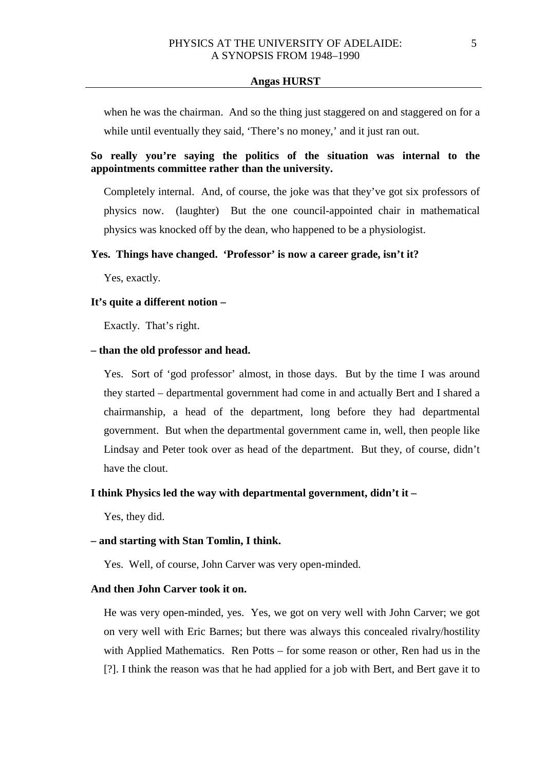when he was the chairman. And so the thing just staggered on and staggered on for a while until eventually they said, 'There's no money,' and it just ran out.

# **So really you're saying the politics of the situation was internal to the appointments committee rather than the university.**

Completely internal. And, of course, the joke was that they've got six professors of physics now. (laughter) But the one council-appointed chair in mathematical physics was knocked off by the dean, who happened to be a physiologist.

### **Yes. Things have changed. 'Professor' is now a career grade, isn't it?**

Yes, exactly.

### **It's quite a different notion –**

Exactly. That's right.

### **– than the old professor and head.**

Yes. Sort of 'god professor' almost, in those days. But by the time I was around they started – departmental government had come in and actually Bert and I shared a chairmanship, a head of the department, long before they had departmental government. But when the departmental government came in, well, then people like Lindsay and Peter took over as head of the department. But they, of course, didn't have the clout.

#### **I think Physics led the way with departmental government, didn't it –**

Yes, they did.

#### **– and starting with Stan Tomlin, I think.**

Yes. Well, of course, John Carver was very open-minded.

### **And then John Carver took it on.**

He was very open-minded, yes. Yes, we got on very well with John Carver; we got on very well with Eric Barnes; but there was always this concealed rivalry/hostility with Applied Mathematics. Ren Potts – for some reason or other, Ren had us in the [?]. I think the reason was that he had applied for a job with Bert, and Bert gave it to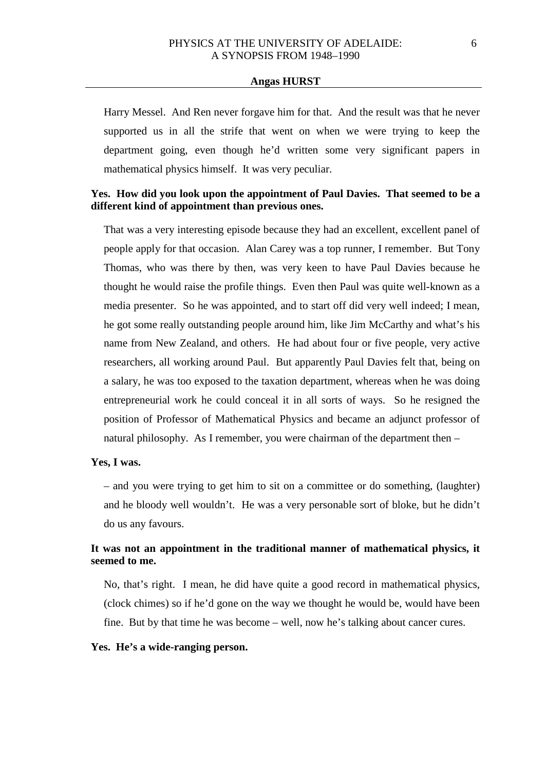Harry Messel. And Ren never forgave him for that. And the result was that he never supported us in all the strife that went on when we were trying to keep the department going, even though he'd written some very significant papers in mathematical physics himself. It was very peculiar.

### **Yes. How did you look upon the appointment of Paul Davies. That seemed to be a different kind of appointment than previous ones.**

That was a very interesting episode because they had an excellent, excellent panel of people apply for that occasion. Alan Carey was a top runner, I remember. But Tony Thomas, who was there by then, was very keen to have Paul Davies because he thought he would raise the profile things. Even then Paul was quite well-known as a media presenter. So he was appointed, and to start off did very well indeed; I mean, he got some really outstanding people around him, like Jim McCarthy and what's his name from New Zealand, and others. He had about four or five people, very active researchers, all working around Paul. But apparently Paul Davies felt that, being on a salary, he was too exposed to the taxation department, whereas when he was doing entrepreneurial work he could conceal it in all sorts of ways. So he resigned the position of Professor of Mathematical Physics and became an adjunct professor of natural philosophy. As I remember, you were chairman of the department then –

#### **Yes, I was.**

– and you were trying to get him to sit on a committee or do something, (laughter) and he bloody well wouldn't. He was a very personable sort of bloke, but he didn't do us any favours.

# **It was not an appointment in the traditional manner of mathematical physics, it seemed to me.**

No, that's right. I mean, he did have quite a good record in mathematical physics, (clock chimes) so if he'd gone on the way we thought he would be, would have been fine. But by that time he was become – well, now he's talking about cancer cures.

#### **Yes. He's a wide-ranging person.**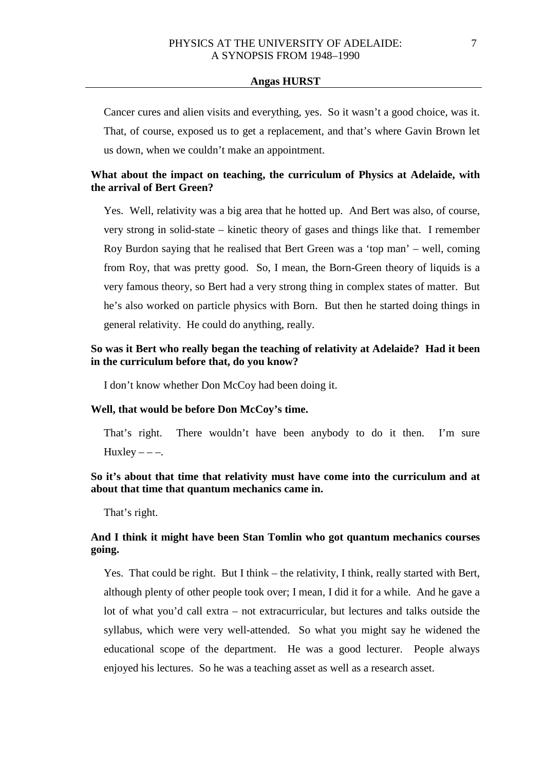Cancer cures and alien visits and everything, yes. So it wasn't a good choice, was it. That, of course, exposed us to get a replacement, and that's where Gavin Brown let us down, when we couldn't make an appointment.

# **What about the impact on teaching, the curriculum of Physics at Adelaide, with the arrival of Bert Green?**

Yes. Well, relativity was a big area that he hotted up. And Bert was also, of course, very strong in solid-state – kinetic theory of gases and things like that. I remember Roy Burdon saying that he realised that Bert Green was a 'top man' – well, coming from Roy, that was pretty good. So, I mean, the Born-Green theory of liquids is a very famous theory, so Bert had a very strong thing in complex states of matter. But he's also worked on particle physics with Born. But then he started doing things in general relativity. He could do anything, really.

# **So was it Bert who really began the teaching of relativity at Adelaide? Had it been in the curriculum before that, do you know?**

I don't know whether Don McCoy had been doing it.

### **Well, that would be before Don McCoy's time.**

That's right. There wouldn't have been anybody to do it then. I'm sure Huxley  $---$ .

# **So it's about that time that relativity must have come into the curriculum and at about that time that quantum mechanics came in.**

That's right.

# **And I think it might have been Stan Tomlin who got quantum mechanics courses going.**

Yes. That could be right. But I think – the relativity, I think, really started with Bert, although plenty of other people took over; I mean, I did it for a while. And he gave a lot of what you'd call extra – not extracurricular, but lectures and talks outside the syllabus, which were very well-attended. So what you might say he widened the educational scope of the department. He was a good lecturer. People always enjoyed his lectures. So he was a teaching asset as well as a research asset.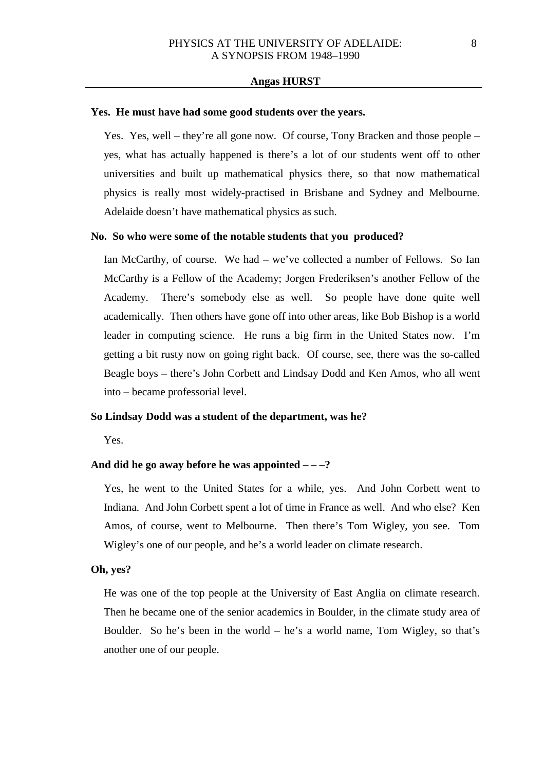#### **Yes. He must have had some good students over the years.**

Yes. Yes, well – they're all gone now. Of course, Tony Bracken and those people – yes, what has actually happened is there's a lot of our students went off to other universities and built up mathematical physics there, so that now mathematical physics is really most widely-practised in Brisbane and Sydney and Melbourne. Adelaide doesn't have mathematical physics as such.

#### **No. So who were some of the notable students that you produced?**

Ian McCarthy, of course. We had – we've collected a number of Fellows. So Ian McCarthy is a Fellow of the Academy; Jorgen Frederiksen's another Fellow of the Academy. There's somebody else as well. So people have done quite well academically. Then others have gone off into other areas, like Bob Bishop is a world leader in computing science. He runs a big firm in the United States now. I'm getting a bit rusty now on going right back. Of course, see, there was the so-called Beagle boys – there's John Corbett and Lindsay Dodd and Ken Amos, who all went into – became professorial level.

#### **So Lindsay Dodd was a student of the department, was he?**

Yes.

### **And did he go away before he was appointed – – –?**

Yes, he went to the United States for a while, yes. And John Corbett went to Indiana. And John Corbett spent a lot of time in France as well. And who else? Ken Amos, of course, went to Melbourne. Then there's Tom Wigley, you see. Tom Wigley's one of our people, and he's a world leader on climate research.

# **Oh, yes?**

He was one of the top people at the University of East Anglia on climate research. Then he became one of the senior academics in Boulder, in the climate study area of Boulder. So he's been in the world – he's a world name, Tom Wigley, so that's another one of our people.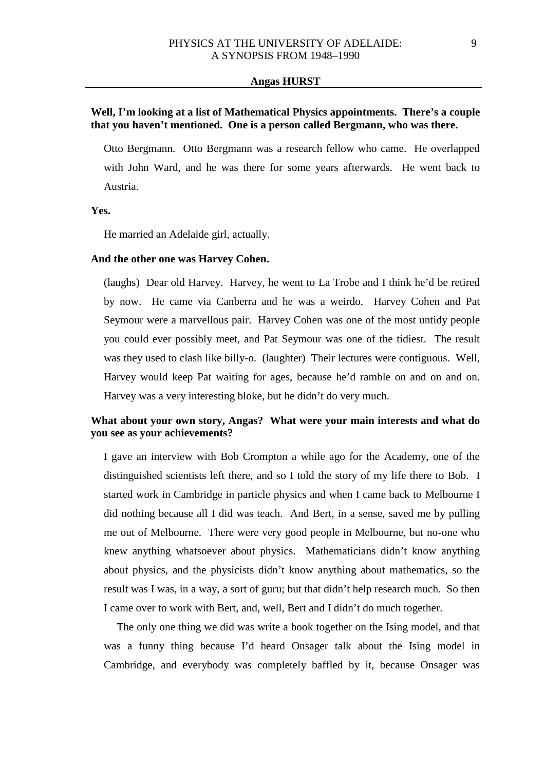# **Well, I'm looking at a list of Mathematical Physics appointments. There's a couple that you haven't mentioned. One is a person called Bergmann, who was there.**

Otto Bergmann. Otto Bergmann was a research fellow who came. He overlapped with John Ward, and he was there for some years afterwards. He went back to Austria.

### **Yes.**

He married an Adelaide girl, actually.

### **And the other one was Harvey Cohen.**

(laughs) Dear old Harvey. Harvey, he went to La Trobe and I think he'd be retired by now. He came via Canberra and he was a weirdo. Harvey Cohen and Pat Seymour were a marvellous pair. Harvey Cohen was one of the most untidy people you could ever possibly meet, and Pat Seymour was one of the tidiest. The result was they used to clash like billy-o. (laughter) Their lectures were contiguous. Well, Harvey would keep Pat waiting for ages, because he'd ramble on and on and on. Harvey was a very interesting bloke, but he didn't do very much.

# **What about your own story, Angas? What were your main interests and what do you see as your achievements?**

I gave an interview with Bob Crompton a while ago for the Academy, one of the distinguished scientists left there, and so I told the story of my life there to Bob. I started work in Cambridge in particle physics and when I came back to Melbourne I did nothing because all I did was teach. And Bert, in a sense, saved me by pulling me out of Melbourne. There were very good people in Melbourne, but no-one who knew anything whatsoever about physics. Mathematicians didn't know anything about physics, and the physicists didn't know anything about mathematics, so the result was I was, in a way, a sort of guru; but that didn't help research much. So then I came over to work with Bert, and, well, Bert and I didn't do much together.

The only one thing we did was write a book together on the Ising model, and that was a funny thing because I'd heard Onsager talk about the Ising model in Cambridge, and everybody was completely baffled by it, because Onsager was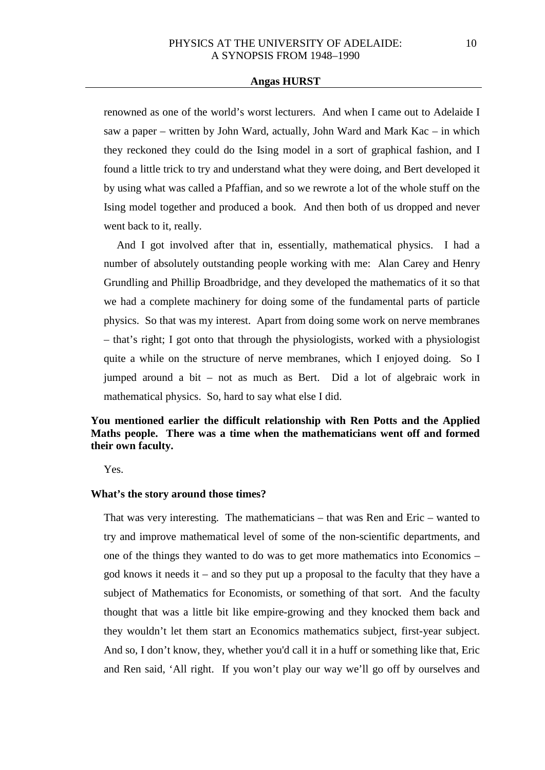renowned as one of the world's worst lecturers. And when I came out to Adelaide I saw a paper – written by John Ward, actually, John Ward and Mark Kac – in which they reckoned they could do the Ising model in a sort of graphical fashion, and I found a little trick to try and understand what they were doing, and Bert developed it by using what was called a Pfaffian, and so we rewrote a lot of the whole stuff on the Ising model together and produced a book. And then both of us dropped and never went back to it, really.

And I got involved after that in, essentially, mathematical physics. I had a number of absolutely outstanding people working with me: Alan Carey and Henry Grundling and Phillip Broadbridge, and they developed the mathematics of it so that we had a complete machinery for doing some of the fundamental parts of particle physics. So that was my interest. Apart from doing some work on nerve membranes – that's right; I got onto that through the physiologists, worked with a physiologist quite a while on the structure of nerve membranes, which I enjoyed doing. So I jumped around a bit – not as much as Bert. Did a lot of algebraic work in mathematical physics. So, hard to say what else I did.

# **You mentioned earlier the difficult relationship with Ren Potts and the Applied Maths people. There was a time when the mathematicians went off and formed their own faculty.**

Yes.

### **What's the story around those times?**

That was very interesting. The mathematicians – that was Ren and Eric – wanted to try and improve mathematical level of some of the non-scientific departments, and one of the things they wanted to do was to get more mathematics into Economics – god knows it needs it – and so they put up a proposal to the faculty that they have a subject of Mathematics for Economists, or something of that sort. And the faculty thought that was a little bit like empire-growing and they knocked them back and they wouldn't let them start an Economics mathematics subject, first-year subject. And so, I don't know, they, whether you'd call it in a huff or something like that, Eric and Ren said, 'All right. If you won't play our way we'll go off by ourselves and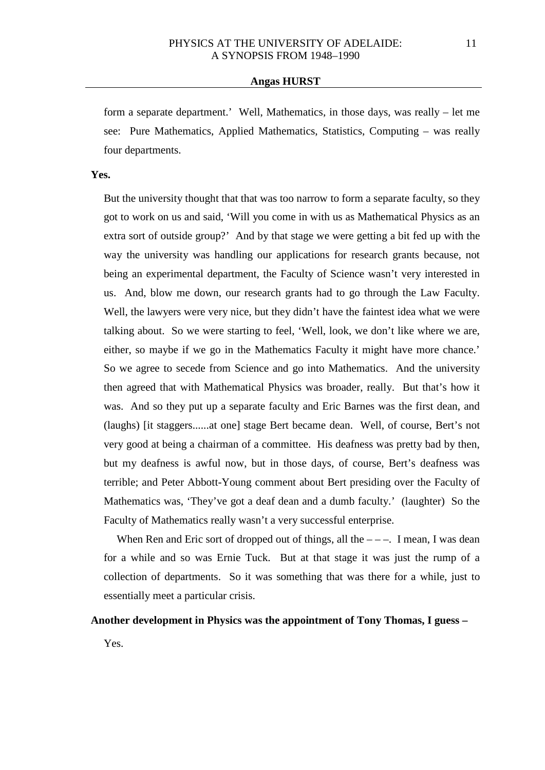form a separate department.' Well, Mathematics, in those days, was really – let me see: Pure Mathematics, Applied Mathematics, Statistics, Computing – was really four departments.

### **Yes.**

But the university thought that that was too narrow to form a separate faculty, so they got to work on us and said, 'Will you come in with us as Mathematical Physics as an extra sort of outside group?' And by that stage we were getting a bit fed up with the way the university was handling our applications for research grants because, not being an experimental department, the Faculty of Science wasn't very interested in us. And, blow me down, our research grants had to go through the Law Faculty. Well, the lawyers were very nice, but they didn't have the faintest idea what we were talking about. So we were starting to feel, 'Well, look, we don't like where we are, either, so maybe if we go in the Mathematics Faculty it might have more chance.' So we agree to secede from Science and go into Mathematics. And the university then agreed that with Mathematical Physics was broader, really. But that's how it was. And so they put up a separate faculty and Eric Barnes was the first dean, and (laughs) [it staggers......at one] stage Bert became dean. Well, of course, Bert's not very good at being a chairman of a committee. His deafness was pretty bad by then, but my deafness is awful now, but in those days, of course, Bert's deafness was terrible; and Peter Abbott-Young comment about Bert presiding over the Faculty of Mathematics was, 'They've got a deaf dean and a dumb faculty.' (laughter) So the Faculty of Mathematics really wasn't a very successful enterprise.

When Ren and Eric sort of dropped out of things, all the  $---$ . I mean, I was dean for a while and so was Ernie Tuck. But at that stage it was just the rump of a collection of departments. So it was something that was there for a while, just to essentially meet a particular crisis.

### **Another development in Physics was the appointment of Tony Thomas, I guess –**

Yes.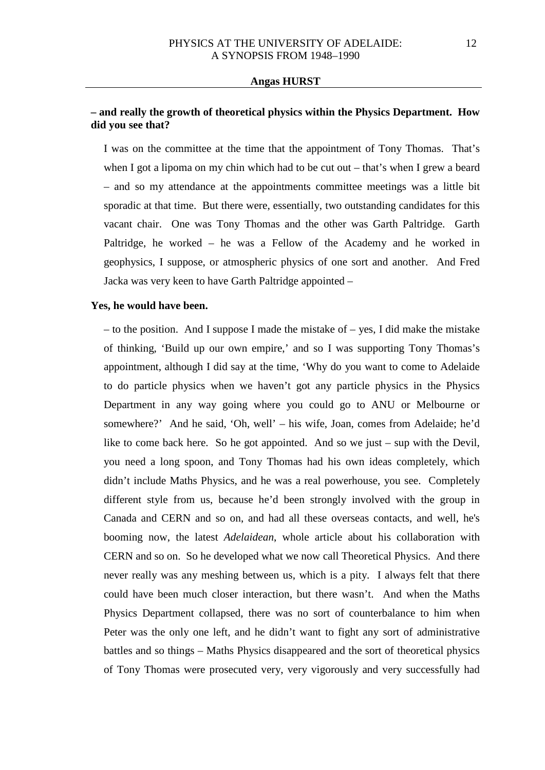# **– and really the growth of theoretical physics within the Physics Department. How did you see that?**

I was on the committee at the time that the appointment of Tony Thomas. That's when I got a lipoma on my chin which had to be cut out – that's when I grew a beard – and so my attendance at the appointments committee meetings was a little bit sporadic at that time. But there were, essentially, two outstanding candidates for this vacant chair. One was Tony Thomas and the other was Garth Paltridge. Garth Paltridge, he worked – he was a Fellow of the Academy and he worked in geophysics, I suppose, or atmospheric physics of one sort and another. And Fred Jacka was very keen to have Garth Paltridge appointed –

#### **Yes, he would have been.**

– to the position. And I suppose I made the mistake of – yes, I did make the mistake of thinking, 'Build up our own empire,' and so I was supporting Tony Thomas's appointment, although I did say at the time, 'Why do you want to come to Adelaide to do particle physics when we haven't got any particle physics in the Physics Department in any way going where you could go to ANU or Melbourne or somewhere?' And he said, 'Oh, well' – his wife, Joan, comes from Adelaide; he'd like to come back here. So he got appointed. And so we just – sup with the Devil, you need a long spoon, and Tony Thomas had his own ideas completely, which didn't include Maths Physics, and he was a real powerhouse, you see. Completely different style from us, because he'd been strongly involved with the group in Canada and CERN and so on, and had all these overseas contacts, and well, he's booming now, the latest *Adelaidean*, whole article about his collaboration with CERN and so on. So he developed what we now call Theoretical Physics. And there never really was any meshing between us, which is a pity. I always felt that there could have been much closer interaction, but there wasn't. And when the Maths Physics Department collapsed, there was no sort of counterbalance to him when Peter was the only one left, and he didn't want to fight any sort of administrative battles and so things – Maths Physics disappeared and the sort of theoretical physics of Tony Thomas were prosecuted very, very vigorously and very successfully had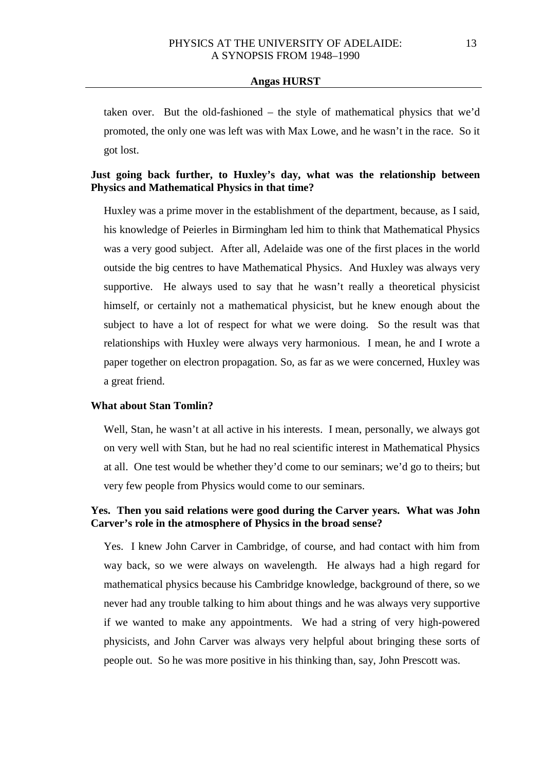taken over. But the old-fashioned – the style of mathematical physics that we'd promoted, the only one was left was with Max Lowe, and he wasn't in the race. So it got lost.

# **Just going back further, to Huxley's day, what was the relationship between Physics and Mathematical Physics in that time?**

Huxley was a prime mover in the establishment of the department, because, as I said, his knowledge of Peierles in Birmingham led him to think that Mathematical Physics was a very good subject. After all, Adelaide was one of the first places in the world outside the big centres to have Mathematical Physics. And Huxley was always very supportive. He always used to say that he wasn't really a theoretical physicist himself, or certainly not a mathematical physicist, but he knew enough about the subject to have a lot of respect for what we were doing. So the result was that relationships with Huxley were always very harmonious. I mean, he and I wrote a paper together on electron propagation. So, as far as we were concerned, Huxley was a great friend.

#### **What about Stan Tomlin?**

Well, Stan, he wasn't at all active in his interests. I mean, personally, we always got on very well with Stan, but he had no real scientific interest in Mathematical Physics at all. One test would be whether they'd come to our seminars; we'd go to theirs; but very few people from Physics would come to our seminars.

### **Yes. Then you said relations were good during the Carver years. What was John Carver's role in the atmosphere of Physics in the broad sense?**

Yes. I knew John Carver in Cambridge, of course, and had contact with him from way back, so we were always on wavelength. He always had a high regard for mathematical physics because his Cambridge knowledge, background of there, so we never had any trouble talking to him about things and he was always very supportive if we wanted to make any appointments. We had a string of very high-powered physicists, and John Carver was always very helpful about bringing these sorts of people out. So he was more positive in his thinking than, say, John Prescott was.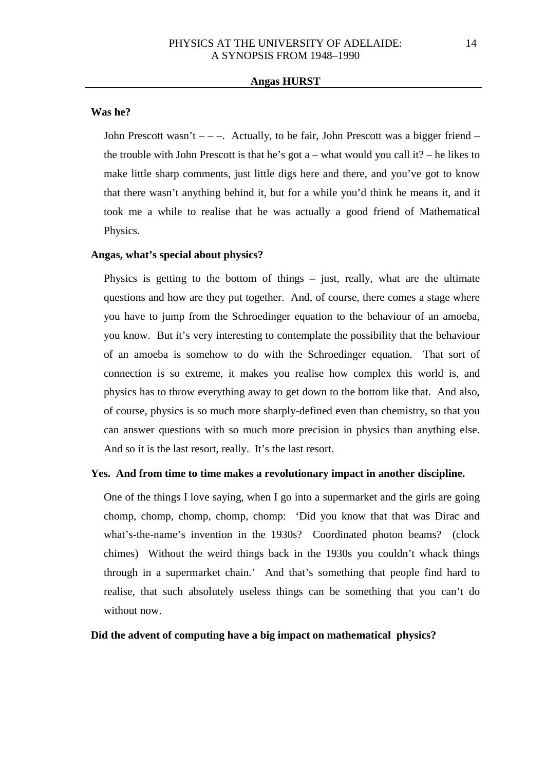#### **Was he?**

John Prescott wasn't  $---$ . Actually, to be fair, John Prescott was a bigger friend  $--$ the trouble with John Prescott is that he's got a – what would you call it? – he likes to make little sharp comments, just little digs here and there, and you've got to know that there wasn't anything behind it, but for a while you'd think he means it, and it took me a while to realise that he was actually a good friend of Mathematical Physics.

### **Angas, what's special about physics?**

Physics is getting to the bottom of things – just, really, what are the ultimate questions and how are they put together. And, of course, there comes a stage where you have to jump from the Schroedinger equation to the behaviour of an amoeba, you know. But it's very interesting to contemplate the possibility that the behaviour of an amoeba is somehow to do with the Schroedinger equation. That sort of connection is so extreme, it makes you realise how complex this world is, and physics has to throw everything away to get down to the bottom like that. And also, of course, physics is so much more sharply-defined even than chemistry, so that you can answer questions with so much more precision in physics than anything else. And so it is the last resort, really. It's the last resort.

#### **Yes. And from time to time makes a revolutionary impact in another discipline.**

One of the things I love saying, when I go into a supermarket and the girls are going chomp, chomp, chomp, chomp, chomp: 'Did you know that that was Dirac and what's-the-name's invention in the 1930s? Coordinated photon beams? (clock chimes) Without the weird things back in the 1930s you couldn't whack things through in a supermarket chain.' And that's something that people find hard to realise, that such absolutely useless things can be something that you can't do without now.

### **Did the advent of computing have a big impact on mathematical physics?**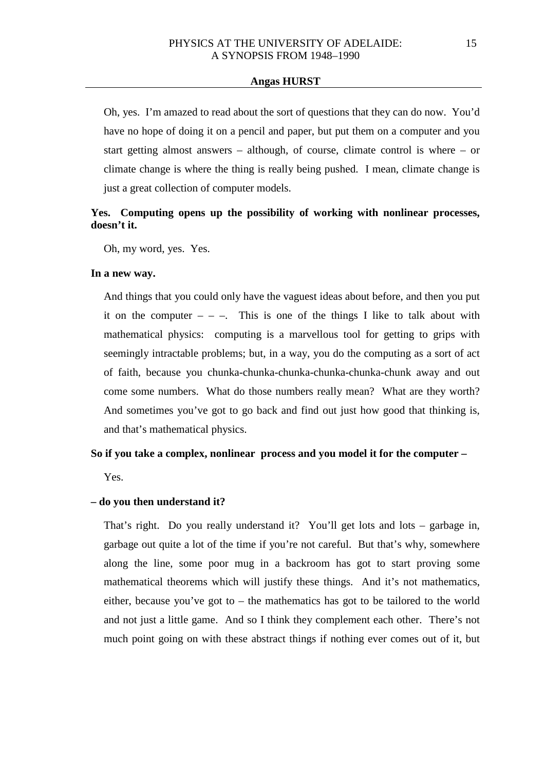Oh, yes. I'm amazed to read about the sort of questions that they can do now. You'd have no hope of doing it on a pencil and paper, but put them on a computer and you start getting almost answers – although, of course, climate control is where – or climate change is where the thing is really being pushed. I mean, climate change is just a great collection of computer models.

# **Yes. Computing opens up the possibility of working with nonlinear processes, doesn't it.**

Oh, my word, yes. Yes.

### **In a new way.**

And things that you could only have the vaguest ideas about before, and then you put it on the computer  $-$  –. This is one of the things I like to talk about with mathematical physics: computing is a marvellous tool for getting to grips with seemingly intractable problems; but, in a way, you do the computing as a sort of act of faith, because you chunka-chunka-chunka-chunka-chunka-chunk away and out come some numbers. What do those numbers really mean? What are they worth? And sometimes you've got to go back and find out just how good that thinking is, and that's mathematical physics.

#### **So if you take a complex, nonlinear process and you model it for the computer –**

Yes.

### **– do you then understand it?**

That's right. Do you really understand it? You'll get lots and lots – garbage in, garbage out quite a lot of the time if you're not careful. But that's why, somewhere along the line, some poor mug in a backroom has got to start proving some mathematical theorems which will justify these things. And it's not mathematics, either, because you've got to – the mathematics has got to be tailored to the world and not just a little game. And so I think they complement each other. There's not much point going on with these abstract things if nothing ever comes out of it, but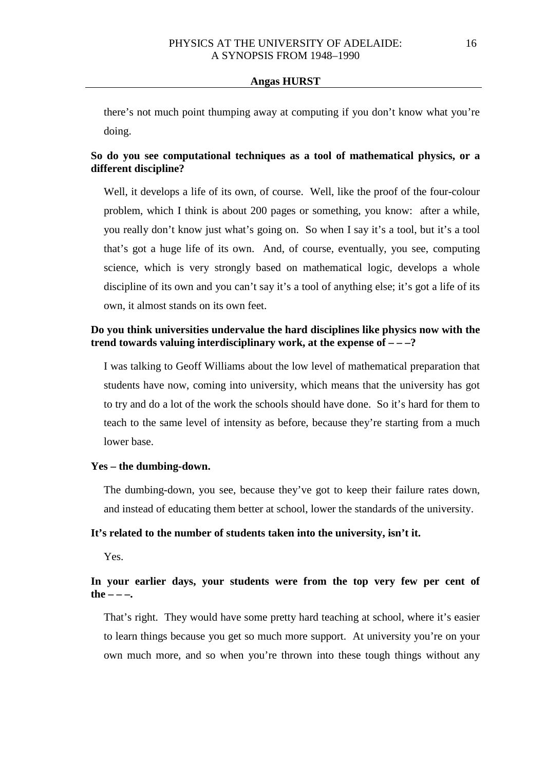there's not much point thumping away at computing if you don't know what you're doing.

# **So do you see computational techniques as a tool of mathematical physics, or a different discipline?**

Well, it develops a life of its own, of course. Well, like the proof of the four-colour problem, which I think is about 200 pages or something, you know: after a while, you really don't know just what's going on. So when I say it's a tool, but it's a tool that's got a huge life of its own. And, of course, eventually, you see, computing science, which is very strongly based on mathematical logic, develops a whole discipline of its own and you can't say it's a tool of anything else; it's got a life of its own, it almost stands on its own feet.

### **Do you think universities undervalue the hard disciplines like physics now with the trend towards valuing interdisciplinary work, at the expense of – – –?**

I was talking to Geoff Williams about the low level of mathematical preparation that students have now, coming into university, which means that the university has got to try and do a lot of the work the schools should have done. So it's hard for them to teach to the same level of intensity as before, because they're starting from a much lower base.

### **Yes – the dumbing-down.**

The dumbing-down, you see, because they've got to keep their failure rates down, and instead of educating them better at school, lower the standards of the university.

### **It's related to the number of students taken into the university, isn't it.**

Yes.

# **In your earlier days, your students were from the top very few per cent of the – – –.**

That's right. They would have some pretty hard teaching at school, where it's easier to learn things because you get so much more support. At university you're on your own much more, and so when you're thrown into these tough things without any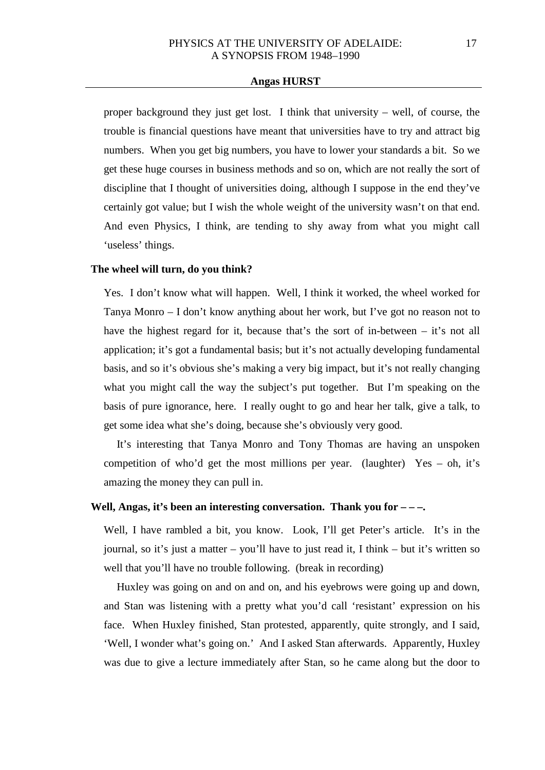proper background they just get lost. I think that university – well, of course, the trouble is financial questions have meant that universities have to try and attract big numbers. When you get big numbers, you have to lower your standards a bit. So we get these huge courses in business methods and so on, which are not really the sort of discipline that I thought of universities doing, although I suppose in the end they've certainly got value; but I wish the whole weight of the university wasn't on that end. And even Physics, I think, are tending to shy away from what you might call 'useless' things.

#### **The wheel will turn, do you think?**

Yes. I don't know what will happen. Well, I think it worked, the wheel worked for Tanya Monro – I don't know anything about her work, but I've got no reason not to have the highest regard for it, because that's the sort of in-between – it's not all application; it's got a fundamental basis; but it's not actually developing fundamental basis, and so it's obvious she's making a very big impact, but it's not really changing what you might call the way the subject's put together. But I'm speaking on the basis of pure ignorance, here. I really ought to go and hear her talk, give a talk, to get some idea what she's doing, because she's obviously very good.

It's interesting that Tanya Monro and Tony Thomas are having an unspoken competition of who'd get the most millions per year. (laughter)  $Yes - oh$ , it's amazing the money they can pull in.

# **Well, Angas, it's been an interesting conversation. Thank you for – – –.**

Well, I have rambled a bit, you know. Look, I'll get Peter's article. It's in the journal, so it's just a matter – you'll have to just read it, I think – but it's written so well that you'll have no trouble following. (break in recording)

Huxley was going on and on and on, and his eyebrows were going up and down, and Stan was listening with a pretty what you'd call 'resistant' expression on his face. When Huxley finished, Stan protested, apparently, quite strongly, and I said, 'Well, I wonder what's going on.' And I asked Stan afterwards. Apparently, Huxley was due to give a lecture immediately after Stan, so he came along but the door to